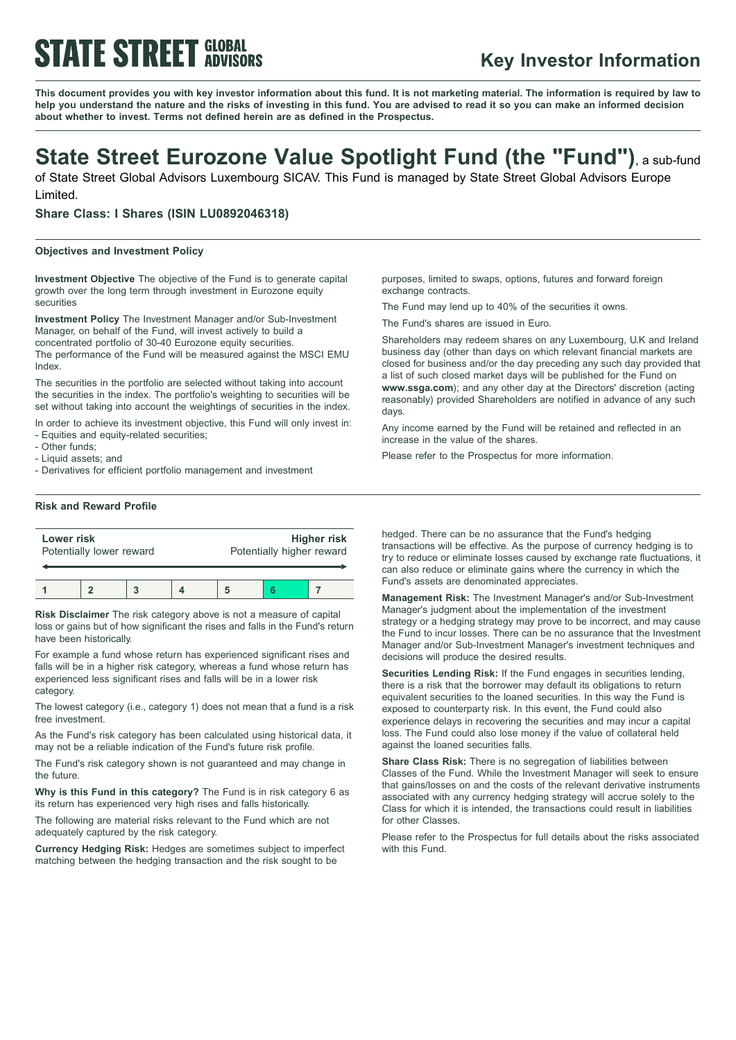# **STATE STREET GLOBAL**

# **Key Investor Information**

This document provides you with key investor information about this fund. It is not marketing material. The information is required by law to help you understand the nature and the risks of investing in this fund. You are advised to read it so you can make an informed decision **about whether to invest. Terms not defined herein are as defined in the Prospectus.**

# **State Street Eurozone Value Spotlight Fund (the "Fund")**, <sup>a</sup> sub-fund

of State Street Global Advisors Luxembourg SICAV. This Fund is managed by State Street Global Advisors Europe Limited.

**Share Class: I Shares (ISIN LU0892046318)**

### **Objectives and Investment Policy**

**Investment Objective** The objective of the Fund is to generate capital growth over the long term through investment in Eurozone equity securities

**Investment Policy** The Investment Manager and/or Sub-Investment Manager, on behalf of the Fund, will invest actively to build a concentrated portfolio of 30-40 Eurozone equity securities. The performance of the Fund will be measured against the MSCI EMU Index.

The securities in the portfolio are selected without taking into account the securities in the index. The portfolio's weighting to securities will be set without taking into account the weightings of securities in the index.

In order to achieve its investment objective, this Fund will only invest in: - Equities and equity-related securities;

- Other funds;
- Liquid assets; and

- Derivatives for efficient portfolio management and investment

purposes, limited to swaps, options, futures and forward foreign exchange contracts.

The Fund may lend up to 40% of the securities it owns.

The Fund's shares are issued in Euro.

Shareholders may redeem shares on any Luxembourg, U.K and Ireland business day (other than days on which relevant financial markets are closed for business and/or the day preceding any such day provided that a list of such closed market days will be published for the Fund on **www.ssga.com**); and any other day at the Directors' discretion (acting reasonably) provided Shareholders are notified in advance of any such days.

Any income earned by the Fund will be retained and reflected in an increase in the value of the shares.

Please refer to the Prospectus for more information.

## **Risk and Reward Profile**

| Lower risk               |  |  |  | <b>Higher risk</b>        |  |  |
|--------------------------|--|--|--|---------------------------|--|--|
| Potentially lower reward |  |  |  | Potentially higher reward |  |  |
|                          |  |  |  |                           |  |  |

**Risk Disclaimer** The risk category above is not a measure of capital loss or gains but of how significant the rises and falls in the Fund's return have been historically.

For example a fund whose return has experienced significant rises and falls will be in a higher risk category, whereas a fund whose return has experienced less significant rises and falls will be in a lower risk category.

The lowest category (i.e., category 1) does not mean that a fund is a risk free investment.

As the Fund's risk category has been calculated using historical data, it may not be a reliable indication of the Fund's future risk profile.

The Fund's risk category shown is not guaranteed and may change in the future.

**Why is this Fund in this category?** The Fund is in risk category 6 as its return has experienced very high rises and falls historically.

The following are material risks relevant to the Fund which are not adequately captured by the risk category.

**Currency Hedging Risk:** Hedges are sometimes subject to imperfect matching between the hedging transaction and the risk sought to be

hedged. There can be no assurance that the Fund's hedging transactions will be effective. As the purpose of currency hedging is to try to reduce or eliminate losses caused by exchange rate fluctuations, it can also reduce or eliminate gains where the currency in which the Fund's assets are denominated appreciates.

**Management Risk:** The Investment Manager's and/or Sub-Investment Manager's judgment about the implementation of the investment strategy or a hedging strategy may prove to be incorrect, and may cause the Fund to incur losses. There can be no assurance that the Investment Manager and/or Sub-Investment Manager's investment techniques and decisions will produce the desired results.

**Securities Lending Risk:** If the Fund engages in securities lending, there is a risk that the borrower may default its obligations to return equivalent securities to the loaned securities. In this way the Fund is exposed to counterparty risk. In this event, the Fund could also experience delays in recovering the securities and may incur a capital loss. The Fund could also lose money if the value of collateral held against the loaned securities falls.

**Share Class Risk:** There is no segregation of liabilities between Classes of the Fund. While the Investment Manager will seek to ensure that gains/losses on and the costs of the relevant derivative instruments associated with any currency hedging strategy will accrue solely to the Class for which it is intended, the transactions could result in liabilities for other Classes.

Please refer to the Prospectus for full details about the risks associated with this Fund.